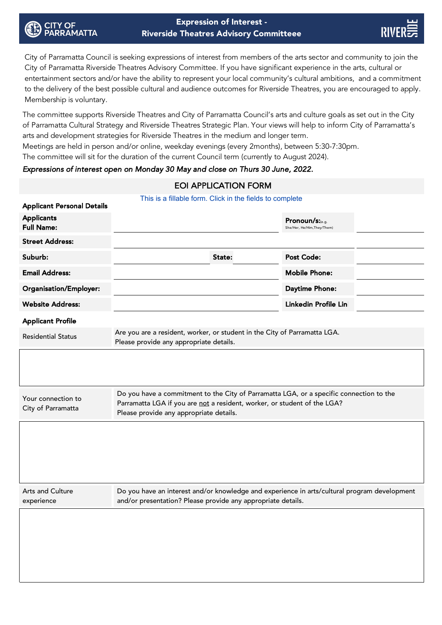City of Parramatta Council is seeking expressions of interest from members of the arts sector and community to join the City of Parramatta Riverside Theatres Advisory Committee. If you have significant experience in the arts, cultural or entertainment sectors and/or have the ability to represent your local community's cultural ambitions, and a commitment to the delivery of the best possible cultural and audience outcomes for Riverside Theatres, you are encouraged to apply. Membership is voluntary.

The committee supports Riverside Theatres and City of Parramatta Council's arts and culture goals as set out in the City of Parramatta Cultural Strategy and Riverside Theatres Strategic Plan. Your views will help to inform City of Parramatta's arts and development strategies for Riverside Theatres in the medium and longer term.

Meetings are held in person and/or online, weekday evenings (every 2months), between 5:30-7:30pm.

The committee will sit for the duration of the current Council term (currently to August 2024).

Expressions of interest open on Monday 30 May and close on Thurs 30 June, 2022.

## EOI APPLICATION FORM

|                                                        | This is a fillable form. Click in the fields to complete                                                                                                                                                       |        |                                                |  |
|--------------------------------------------------------|----------------------------------------------------------------------------------------------------------------------------------------------------------------------------------------------------------------|--------|------------------------------------------------|--|
| <b>Applicant Personal Details</b><br><b>Applicants</b> |                                                                                                                                                                                                                |        |                                                |  |
| <b>Full Name:</b>                                      |                                                                                                                                                                                                                |        | Pronoun/s:(e.g.<br>She/Her, He/Him, They/Them) |  |
| <b>Street Address:</b>                                 |                                                                                                                                                                                                                |        |                                                |  |
| Suburb:                                                |                                                                                                                                                                                                                | State: | <b>Post Code:</b>                              |  |
| <b>Email Address:</b>                                  |                                                                                                                                                                                                                |        | <b>Mobile Phone:</b>                           |  |
| Organisation/Employer:                                 |                                                                                                                                                                                                                |        | Daytime Phone:                                 |  |
| <b>Website Address:</b>                                |                                                                                                                                                                                                                |        | Linkedin Profile Linl                          |  |
| <b>Applicant Profile</b>                               |                                                                                                                                                                                                                |        |                                                |  |
| <b>Residential Status</b>                              | Are you are a resident, worker, or student in the City of Parramatta LGA.<br>Please provide any appropriate details.                                                                                           |        |                                                |  |
|                                                        |                                                                                                                                                                                                                |        |                                                |  |
| Your connection to<br>City of Parramatta               | Do you have a commitment to the City of Parramatta LGA, or a specific connection to the<br>Parramatta LGA if you are not a resident, worker, or student of the LGA?<br>Please provide any appropriate details. |        |                                                |  |
|                                                        |                                                                                                                                                                                                                |        |                                                |  |
| Arts and Culture<br>experience                         | Do you have an interest and/or knowledge and experience in arts/cultural program development<br>and/or presentation? Please provide any appropriate details.                                                   |        |                                                |  |
|                                                        |                                                                                                                                                                                                                |        |                                                |  |